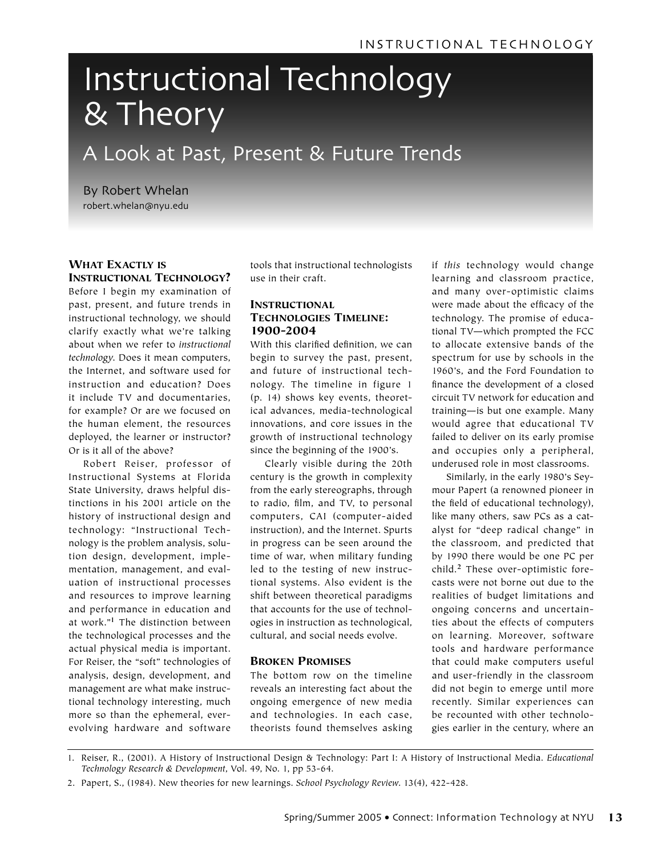# Instructional Technology & Theory

# A Look at Past, Present & Future Trends

By Robert Whelan robert.whelan@nyu.edu

# WHAT EXACTLY IS INSTRUCTIONAL TECHNOLOGY?

Before I begin my examination of past, present, and future trends in instructional technology, we should clarify exactly what we're talking about when we refer to *instructional technology*. Does it mean computers, the Internet, and software used for instruction and education? Does it include TV and documentaries, for example? Or are we focused on the human element, the resources deployed, the learner or instructor? Or is it all of the above?

Robert Reiser, professor of Instructional Systems at Florida State University, draws helpful distinctions in his 2001 article on the history of instructional design and technology: "Instructional Technology is the problem analysis, solution design, development, implementation, management, and evaluation of instructional processes and resources to improve learning and performance in education and at work."**1** The distinction between the technological processes and the actual physical media is important. For Reiser, the "soft" technologies of analysis, design, development, and management are what make instructional technology interesting, much more so than the ephemeral, everevolving hardware and software

tools that instructional technologists use in their craft.

#### INSTRUCTIONAL TECHNOLOGIES TIMELINE: 1900-2004

With this clarified definition, we can begin to survey the past, present, and future of instructional technology. The timeline in figure 1 (p. 14) shows key events, theoretical advances, media-technological innovations, and core issues in the growth of instructional technology since the beginning of the 1900's.

Clearly visible during the 20th century is the growth in complexity from the early stereographs, through to radio, film, and TV, to personal computers, CAI (computer-aided instruction), and the Internet. Spurts in progress can be seen around the time of war, when military funding led to the testing of new instructional systems. Also evident is the shift between theoretical paradigms that accounts for the use of technologies in instruction as technological, cultural, and social needs evolve.

#### BROKEN PROMISES

The bottom row on the timeline reveals an interesting fact about the ongoing emergence of new media and technologies. In each case, theorists found themselves asking if *this* technology would change learning and classroom practice, and many over-optimistic claims were made about the efficacy of the technology. The promise of educational TV—which prompted the FCC to allocate extensive bands of the spectrum for use by schools in the 1960's, and the Ford Foundation to finance the development of a closed circuit TV network for education and training—is but one example. Many would agree that educational TV failed to deliver on its early promise and occupies only a peripheral, underused role in most classrooms.

Similarly, in the early 1980's Seymour Papert (a renowned pioneer in the field of educational technology), like many others, saw PCs as a catalyst for "deep radical change" in the classroom, and predicted that by 1990 there would be one PC per child.**2** These over-optimistic forecasts were not borne out due to the realities of budget limitations and ongoing concerns and uncertainties about the effects of computers on learning. Moreover, software tools and hardware performance that could make computers useful and user-friendly in the classroom did not begin to emerge until more recently. Similar experiences can be recounted with other technologies earlier in the century, where an

1. Reiser, R., (2001). A History of Instructional Design & Technology: Part I: A History of Instructional Media. *Educational Technology Research & Development*, Vol. 49, No. 1, pp 53-64.

<sup>2.</sup> Papert, S., (1984). New theories for new learnings. *School Psychology Review*. 13(4), 422-428.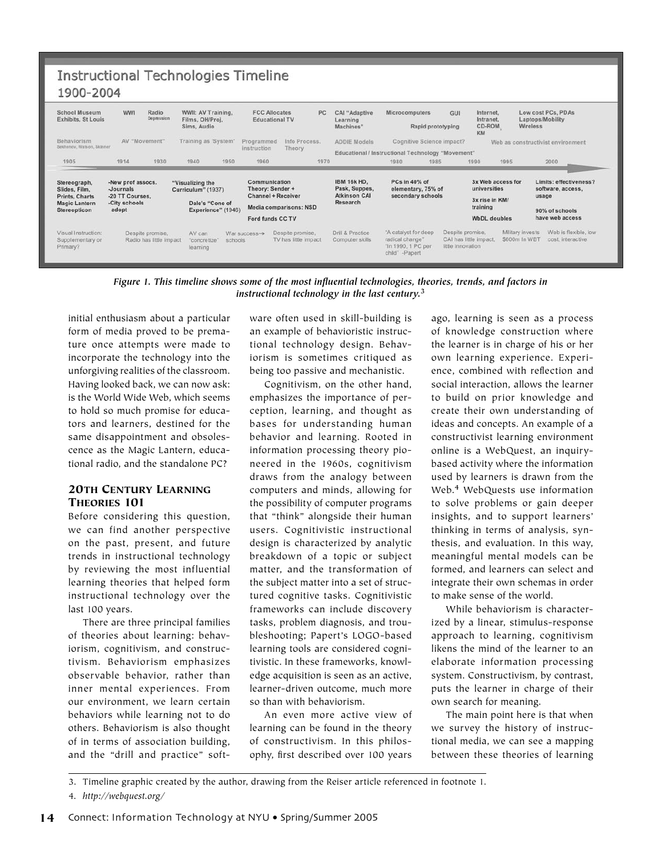| <b>Instructional Technologies Timeline</b><br>1900-2004                                 |                                                                            |                                                                             |                                                                                 |      |                                                                                                                     |      |                                                                        |                                                                                 |                                       |                                                                 |                                   |                                                                        |  |
|-----------------------------------------------------------------------------------------|----------------------------------------------------------------------------|-----------------------------------------------------------------------------|---------------------------------------------------------------------------------|------|---------------------------------------------------------------------------------------------------------------------|------|------------------------------------------------------------------------|---------------------------------------------------------------------------------|---------------------------------------|-----------------------------------------------------------------|-----------------------------------|------------------------------------------------------------------------|--|
| School Museum<br><b>Exhibits, St Louis</b>                                              | <b>WW1</b>                                                                 | Radio<br>WWII: AV Training,<br>Depression<br>Films, OH/Proj.<br>Sims, Audio |                                                                                 |      | PC<br><b>FCC Allocates</b><br><b>Educational TV</b>                                                                 |      | CAI "Adaptive<br>Learning<br>Machines"                                 | <b>Microcomputers</b><br>GUI<br>Rapid prototyping                               |                                       | Internet,<br>Intranet.<br>CD-ROM<br>KM                          |                                   | Low cost PCs, PDAs<br>Laptops/Mobility<br>Wireless                     |  |
| Behaviorism<br>Sekhenov, Watson, Skinner                                                | AV "Movement"                                                              |                                                                             | Training as 'System'                                                            |      | Info Process.<br>Programmed<br>instruction<br>Theory                                                                |      | <b>ADDIE Models</b>                                                    | Cognitive Science impact?<br>Educational / Instructional Technology "Movement"  |                                       |                                                                 | Web as constructivist environment |                                                                        |  |
| 1905                                                                                    | 1914                                                                       | 1930                                                                        | 1940                                                                            | 1950 | 1960                                                                                                                | 1970 |                                                                        | 1980                                                                            | 1985                                  | 1990                                                            | 1995                              | 2000                                                                   |  |
| Stereograph,<br>Slides, Film,<br>Prints, Charts<br><b>Magic Lantern</b><br>Stereopticon | -New prof assocs.<br>Journals<br>-20 TT Courses.<br>-City schools<br>adopt |                                                                             | "Visualizing the<br>Curriculum" (1937)<br>Dale's "Cone of<br>Experience" (1946) |      | Communication<br>Theory: Sender +<br><b>Channel + Receiver</b><br><b>Media comparisons: NSD</b><br>Ford funds CC TV |      | <b>IBM 16k HD.</b><br>Pask, Suppes,<br><b>Atkinson CAI</b><br>Research | PCs in 40% of<br>elementary, 75% of<br>secondary schools                        |                                       | 3x Web access for<br>universities<br>3x rise in KM/<br>training |                                   | Limits: effectiveness?<br>software, access,<br>usage<br>90% of schools |  |
|                                                                                         |                                                                            |                                                                             |                                                                                 |      |                                                                                                                     |      |                                                                        |                                                                                 |                                       | <b>WbDL</b> doubles                                             |                                   | have web access                                                        |  |
| Visual Instruction:<br>Supplementary or<br>Primary?                                     | Despite promise,<br>Radio has little impact                                |                                                                             | AV can<br>"concretize"<br>schools<br>learning                                   |      | Despite promise,<br>War success $\rightarrow$<br>TV has little impact                                               |      | Drill & Practice<br>Computer skills                                    | "A catalyst for deep<br>radical change"<br>"In 1990, 1 PC per<br>child" -Papert | Despite promise.<br>little innovation | CAI has little impact                                           | Military invests<br>\$600m In WBT | Web is flexible, low<br>cost. interactive                              |  |

*Figure 1. This timeline shows some of the most influential technologies, theories, trends, and factors in instructional technology in the last century.***<sup>3</sup>**

initial enthusiasm about a particular form of media proved to be premature once attempts were made to incorporate the technology into the unforgiving realities of the classroom. Having looked back, we can now ask: is the World Wide Web, which seems to hold so much promise for educators and learners, destined for the same disappointment and obsolescence as the Magic Lantern, educational radio, and the standalone PC?

#### 20TH CENTURY LEARNING THEORIES 101

Before considering this question, we can find another perspective on the past, present, and future trends in instructional technology by reviewing the most influential learning theories that helped form instructional technology over the last 100 years.

There are three principal families of theories about learning: behaviorism, cognitivism, and constructivism. Behaviorism emphasizes observable behavior, rather than inner mental experiences. From our environment, we learn certain behaviors while learning not to do others. Behaviorism is also thought of in terms of association building, and the "drill and practice" software often used in skill-building is an example of behavioristic instructional technology design. Behaviorism is sometimes critiqued as being too passive and mechanistic.

Cognitivism, on the other hand, emphasizes the importance of perception, learning, and thought as bases for understanding human behavior and learning. Rooted in information processing theory pioneered in the 1960s, cognitivism draws from the analogy between computers and minds, allowing for the possibility of computer programs that "think" alongside their human users. Cognitivistic instructional design is characterized by analytic breakdown of a topic or subject matter, and the transformation of the subject matter into a set of structured cognitive tasks. Cognitivistic frameworks can include discovery tasks, problem diagnosis, and troubleshooting; Papert's LOGO-based learning tools are considered cognitivistic. In these frameworks, knowledge acquisition is seen as an active, learner-driven outcome, much more so than with behaviorism.

An even more active view of learning can be found in the theory of constructivism. In this philosophy, first described over 100 years

ago, learning is seen as a process of knowledge construction where the learner is in charge of his or her own learning experience. Experience, combined with reflection and social interaction, allows the learner to build on prior knowledge and create their own understanding of ideas and concepts. An example of a constructivist learning environment online is a WebQuest, an inquirybased activity where the information used by learners is drawn from the Web.**4** WebQuests use information to solve problems or gain deeper insights, and to support learners' thinking in terms of analysis, synthesis, and evaluation. In this way, meaningful mental models can be formed, and learners can select and integrate their own schemas in order to make sense of the world.

While behaviorism is characterized by a linear, stimulus-response approach to learning, cognitivism likens the mind of the learner to an elaborate information processing system. Constructivism, by contrast, puts the learner in charge of their own search for meaning.

The main point here is that when we survey the history of instructional media, we can see a mapping between these theories of learning

4. *http://webquest.org/*

<sup>3.</sup> Timeline graphic created by the author, drawing from the Reiser article referenced in footnote 1.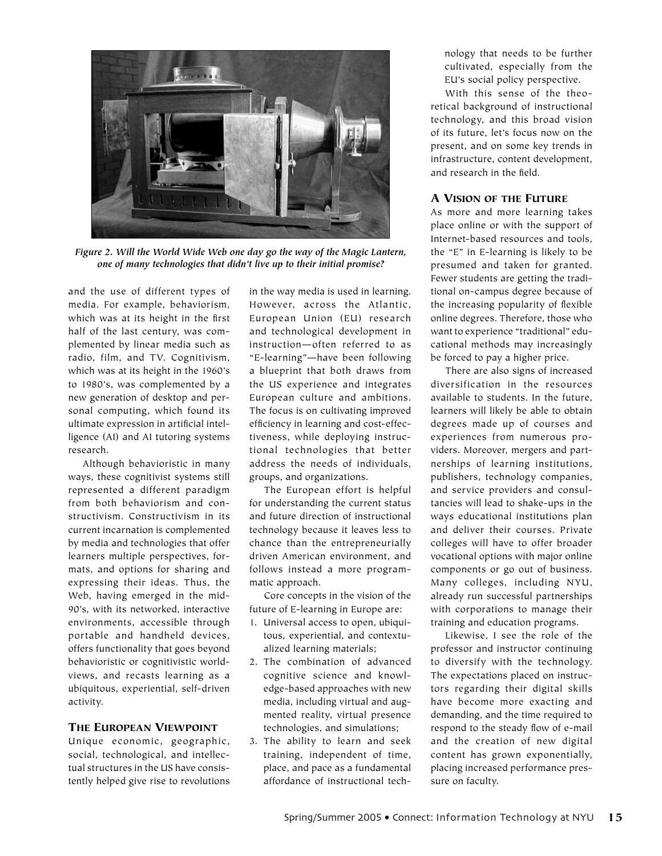

*Figure 2. Will the World Wide Web one day go the way of the Magic Lantern, one of many technologies that didn't live up to their initial promise?*

and the use of different types of media. For example, behaviorism, which was at its height in the first half of the last century, was complemented by linear media such as radio, film, and TV. Cognitivism, which was at its height in the 1960's to 1980's, was complemented by a new generation of desktop and personal computing, which found its ultimate expression in artificial intelligence (AI) and AI tutoring systems research.

Although behavioristic in many ways, these cognitivist systems still represented a different paradigm from both behaviorism and constructivism. Constructivism in its current incarnation is complemented by media and technologies that offer learners multiple perspectives, formats, and options for sharing and expressing their ideas. Thus, the Web, having emerged in the mid-90's, with its networked, interactive environments, accessible through portable and handheld devices, offers functionality that goes beyond behavioristic or cognitivistic worldviews, and recasts learning as a ubiquitous, experiential, self-driven activity.

#### THE EUROPEAN VIEWPOINT

Unique economic, geographic, social, technological, and intellectual structures in the US have consistently helped give rise to revolutions

in the way media is used in learning. However, across the Atlantic, European Union (EU) research and technological development in instruction—often referred to as "E-learning"—have been following a blueprint that both draws from the US experience and integrates European culture and ambitions. The focus is on cultivating improved efficiency in learning and cost-effectiveness, while deploying instructional technologies that better address the needs of individuals, groups, and organizations.

The European effort is helpful for understanding the current status and future direction of instructional technology because it leaves less to chance than the entrepreneurially driven American environment, and follows instead a more programmatic approach.

Core concepts in the vision of the future of E-learning in Europe are:

- 1. Universal access to open, ubiquitous, experiential, and contextualized learning materials;
- 2. The combination of advanced cognitive science and knowledge-based approaches with new media, including virtual and augmented reality, virtual presence technologies, and simulations;
- 3. The ability to learn and seek training, independent of time, place, and pace as a fundamental affordance of instructional tech-

nology that needs to be further cultivated, especially from the EU's social policy perspective.

With this sense of the theoretical background of instructional technology, and this broad vision of its future, let's focus now on the present, and on some key trends in infrastructure, content development, and research in the field.

### A VISION OF THE FUTURE

As more and more learning takes place online or with the support of Internet-based resources and tools, the "E" in E-learning is likely to be presumed and taken for granted. Fewer students are getting the traditional on-campus degree because of the increasing popularity of flexible online degrees. Therefore, those who want to experience "traditional" educational methods may increasingly be forced to pay a higher price.

There are also signs of increased diversification in the resources available to students. In the future, learners will likely be able to obtain degrees made up of courses and experiences from numerous providers. Moreover, mergers and partnerships of learning institutions, publishers, technology companies, and service providers and consultancies will lead to shake-ups in the ways educational institutions plan and deliver their courses. Private colleges will have to offer broader vocational options with major online components or go out of business. Many colleges, including NYU, already run successful partnerships with corporations to manage their training and education programs.

Likewise, I see the role of the professor and instructor continuing to diversify with the technology. The expectations placed on instructors regarding their digital skills have become more exacting and demanding, and the time required to respond to the steady flow of e-mail and the creation of new digital content has grown exponentially, placing increased performance pressure on faculty.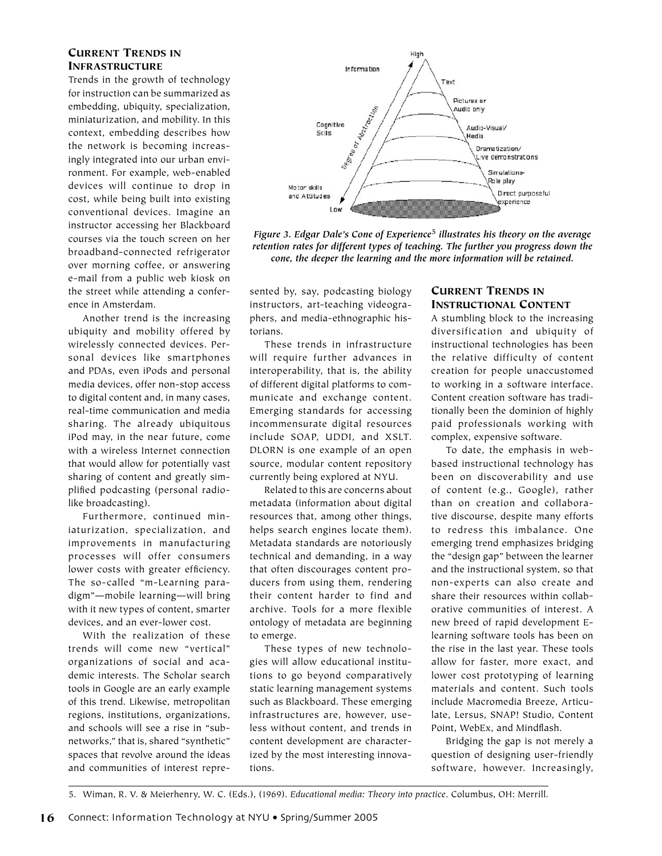## CURRENT TRENDS IN INFRASTRUCTURE

Trends in the growth of technology for instruction can be summarized as embedding, ubiquity, specialization, miniaturization, and mobility. In this context, embedding describes how the network is becoming increasingly integrated into our urban environment. For example, web-enabled devices will continue to drop in cost, while being built into existing conventional devices. Imagine an instructor accessing her Blackboard courses via the touch screen on her broadband-connected refrigerator over morning coffee, or answering e-mail from a public web kiosk on the street while attending a conference in Amsterdam.

Another trend is the increasing ubiquity and mobility offered by wirelessly connected devices. Personal devices like smartphones and PDAs, even iPods and personal media devices, offer non-stop access to digital content and, in many cases, real-time communication and media sharing. The already ubiquitous iPod may, in the near future, come with a wireless Internet connection that would allow for potentially vast sharing of content and greatly simplified podcasting (personal radiolike broadcasting).

Furthermore, continued miniaturization, specialization, and improvements in manufacturing processes will offer consumers lower costs with greater efficiency. The so-called "m-Learning paradigm"—mobile learning—will bring with it new types of content, smarter devices, and an ever-lower cost.

With the realization of these trends will come new "vertical" organizations of social and academic interests. The Scholar search tools in Google are an early example of this trend. Likewise, metropolitan regions, institutions, organizations, and schools will see a rise in "subnetworks," that is, shared "synthetic" spaces that revolve around the ideas and communities of interest repre-



*Figure 3. Edgar Dale's Cone of Experience***5** *illustrates his theory on the average retention rates for different types of teaching. The further you progress down the cone, the deeper the learning and the more information will be retained.*

sented by, say, podcasting biology instructors, art-teaching videographers, and media-ethnographic historians.

These trends in infrastructure will require further advances in interoperability, that is, the ability of different digital platforms to communicate and exchange content. Emerging standards for accessing incommensurate digital resources include SOAP, UDDI, and XSLT. DLORN is one example of an open source, modular content repository currently being explored at NYU.

Related to this are concerns about metadata (information about digital resources that, among other things, helps search engines locate them). Metadata standards are notoriously technical and demanding, in a way that often discourages content producers from using them, rendering their content harder to find and archive. Tools for a more flexible ontology of metadata are beginning to emerge.

These types of new technologies will allow educational institutions to go beyond comparatively static learning management systems such as Blackboard. These emerging infrastructures are, however, useless without content, and trends in content development are characterized by the most interesting innovations.

# CURRENT TRENDS IN INSTRUCTIONAL CONTENT

A stumbling block to the increasing diversification and ubiquity of instructional technologies has been the relative difficulty of content creation for people unaccustomed to working in a software interface. Content creation software has traditionally been the dominion of highly paid professionals working with complex, expensive software.

To date, the emphasis in webbased instructional technology has been on discoverability and use of content (e.g., Google), rather than on creation and collaborative discourse, despite many efforts to redress this imbalance. One emerging trend emphasizes bridging the "design gap" between the learner and the instructional system, so that non-experts can also create and share their resources within collaborative communities of interest. A new breed of rapid development Elearning software tools has been on the rise in the last year. These tools allow for faster, more exact, and lower cost prototyping of learning materials and content. Such tools include Macromedia Breeze, Articulate, Lersus, SNAP! Studio, Content Point, WebEx, and Mindflash.

Bridging the gap is not merely a question of designing user-friendly software, however. Increasingly,

<sup>5.</sup> Wiman, R. V. & Meierhenry, W. C. (Eds.), (1969). *Educational media: Theory into practice*. Columbus, OH: Merrill.